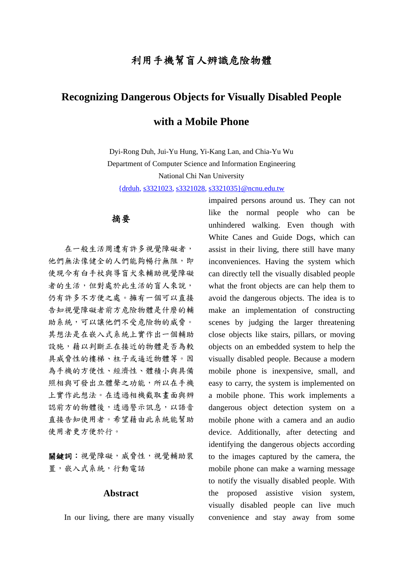# 利用手機幫盲人辨識危險物體

# **Recognizing Dangerous Objects for Visually Disabled People**

# **with a Mobile Phone**

Dyi-Rong Duh, Jui-Yu Hung, Yi-Kang Lan, and Chia-Yu Wu Department of Computer Science and Information Engineering

National Chi Nan University

{drduh, s3321023, s3321028, s3321035}@ncnu.edu.tw

### 摘要

在一般生活周遭有許多視覺障礙者, 他們無法像健全的人們能夠暢行無阻,即 使現今有白手杖與導盲犬來輔助視覺障礙 者的生活,但對處於此生活的盲人來說, 仍有許多不方便之處。擁有一個可以直接 告知視覺障礙者前方危險物體是什麼的輔 助系統,可以讓他們不受危險物的威脅。 其想法是在嵌入式系統上實作出一個輔助 設施,藉以判斷正在接近的物體是否為較 具威脅性的樓梯、柱子或逼近物體等。因 為手機的方便性、經濟性、體積小與具備 照相與可發出立體聲之功能,所以在手機 上實作此想法。在透過相機截取畫面與辨 認前方的物體後,透過警示訊息,以語音 直接告知使用者。希望藉由此系統能幫助 使用者更方便於行。

關鍵詞:視覺障礙,威脅性,視覺輔助裝 置,嵌入式系統,行動電話

## **Abstract**

In our living, there are many visually

impaired persons around us. They can not like the normal people who can be unhindered walking. Even though with White Canes and Guide Dogs, which can assist in their living, there still have many inconveniences. Having the system which can directly tell the visually disabled people what the front objects are can help them to avoid the dangerous objects. The idea is to make an implementation of constructing scenes by judging the larger threatening close objects like stairs, pillars, or moving objects on an embedded system to help the visually disabled people. Because a modern mobile phone is inexpensive, small, and easy to carry, the system is implemented on a mobile phone. This work implements a dangerous object detection system on a mobile phone with a camera and an audio device. Additionally, after detecting and identifying the dangerous objects according to the images captured by the camera, the mobile phone can make a warning message to notify the visually disabled people. With the proposed assistive vision system, visually disabled people can live much convenience and stay away from some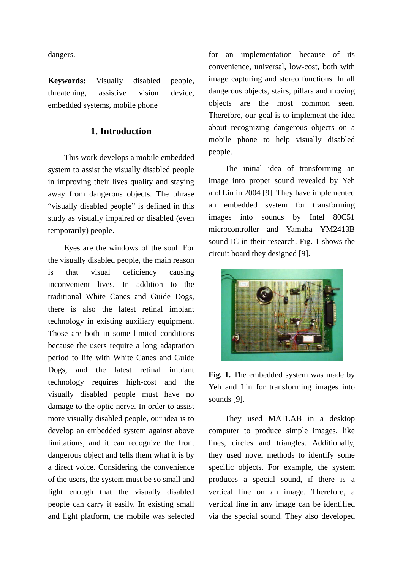dangers.

**Keywords:** Visually disabled people, threatening, assistive vision device, embedded systems, mobile phone

# **1. Introduction**

This work develops a mobile embedded system to assist the visually disabled people in improving their lives quality and staying away from dangerous objects. The phrase "visually disabled people" is defined in this study as visually impaired or disabled (even temporarily) people.

Eyes are the windows of the soul. For the visually disabled people, the main reason is that visual deficiency causing inconvenient lives. In addition to the traditional White Canes and Guide Dogs, there is also the latest retinal implant technology in existing auxiliary equipment. Those are both in some limited conditions because the users require a long adaptation period to life with White Canes and Guide Dogs, and the latest retinal implant technology requires high-cost and the visually disabled people must have no damage to the optic nerve. In order to assist more visually disabled people, our idea is to develop an embedded system against above limitations, and it can recognize the front dangerous object and tells them what it is by a direct voice. Considering the convenience of the users, the system must be so small and light enough that the visually disabled people can carry it easily. In existing small and light platform, the mobile was selected for an implementation because of its convenience, universal, low-cost, both with image capturing and stereo functions. In all dangerous objects, stairs, pillars and moving objects are the most common seen. Therefore, our goal is to implement the idea about recognizing dangerous objects on a mobile phone to help visually disabled people.

The initial idea of transforming an image into proper sound revealed by Yeh and Lin in 2004 [9]. They have implemented an embedded system for transforming images into sounds by Intel 80C51 microcontroller and Yamaha YM2413B sound IC in their research. Fig. 1 shows the circuit board they designed [9].



Fig. 1. The embedded system was made by Yeh and Lin for transforming images into sounds [9].

They used MATLAB in a desktop computer to produce simple images, like lines, circles and triangles. Additionally, they used novel methods to identify some specific objects. For example, the system produces a special sound, if there is a vertical line on an image. Therefore, a vertical line in any image can be identified via the special sound. They also developed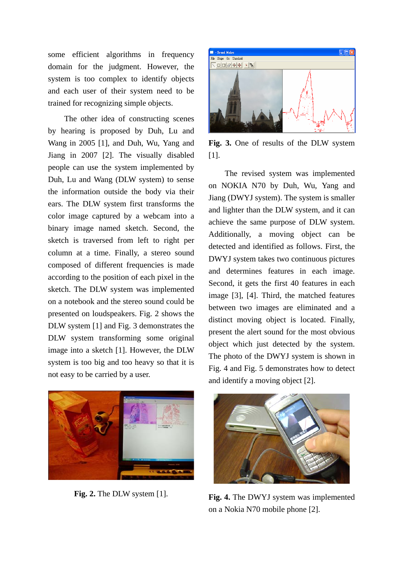some efficient algorithms in frequency domain for the judgment. However, the system is too complex to identify objects and each user of their system need to be trained for recognizing simple objects.

The other idea of constructing scenes by hearing is proposed by Duh, Lu and Wang in 2005 [1], and Duh, Wu, Yang and Jiang in 2007 [2]. The visually disabled people can use the system implemented by Duh, Lu and Wang (DLW system) to sense the information outside the body via their ears. The DLW system first transforms the color image captured by a webcam into a binary image named sketch. Second, the sketch is traversed from left to right per column at a time. Finally, a stereo sound composed of different frequencies is made according to the position of each pixel in the sketch. The DLW system was implemented on a notebook and the stereo sound could be presented on loudspeakers. Fig. 2 shows the DLW system [1] and Fig. 3 demonstrates the DLW system transforming some original image into a sketch [1]. However, the DLW system is too big and too heavy so that it is not easy to be carried by a user.



**Fig. 3.** One of results of the DLW system [1].

The revised system was implemented on NOKIA N70 by Duh, Wu, Yang and Jiang (DWYJ system). The system is smaller and lighter than the DLW system, and it can achieve the same purpose of DLW system. Additionally, a moving object can be detected and identified as follows. First, the DWYJ system takes two continuous pictures and determines features in each image. Second, it gets the first 40 features in each image [3], [4]. Third, the matched features between two images are eliminated and a distinct moving object is located. Finally, present the alert sound for the most obvious object which just detected by the system. The photo of the DWYJ system is shown in Fig. 4 and Fig. 5 demonstrates how to detect and identify a moving object [2].



**Fig. 2.** The DLW system [1].



**Fig. 4.** The DWYJ system was implemented on a Nokia N70 mobile phone [2].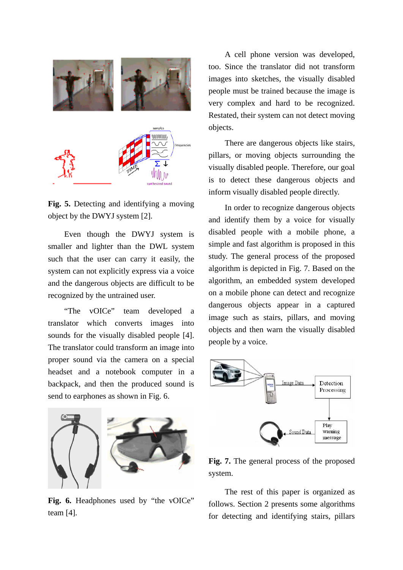

**Fig. 5.** Detecting and identifying a moving object by the DWYJ system [2].

Even though the DWYJ system is smaller and lighter than the DWL system such that the user can carry it easily, the system can not explicitly express via a voice and the dangerous objects are difficult to be recognized by the untrained user.

"The vOICe" team developed a translator which converts images into sounds for the visually disabled people [4]. The translator could transform an image into proper sound via the camera on a special headset and a notebook computer in a backpack, and then the produced sound is send to earphones as shown in Fig. 6.



Fig. 6. Headphones used by "the vOICe" team [4].

A cell phone version was developed, too. Since the translator did not transform images into sketches, the visually disabled people must be trained because the image is very complex and hard to be recognized. Restated, their system can not detect moving objects.

There are dangerous objects like stairs, pillars, or moving objects surrounding the visually disabled people. Therefore, our goal is to detect these dangerous objects and inform visually disabled people directly.

In order to recognize dangerous objects and identify them by a voice for visually disabled people with a mobile phone, a simple and fast algorithm is proposed in this study. The general process of the proposed algorithm is depicted in Fig. 7. Based on the algorithm, an embedded system developed on a mobile phone can detect and recognize dangerous objects appear in a captured image such as stairs, pillars, and moving objects and then warn the visually disabled people by a voice.



**Fig. 7.** The general process of the proposed system.

The rest of this paper is organized as follows. Section 2 presents some algorithms for detecting and identifying stairs, pillars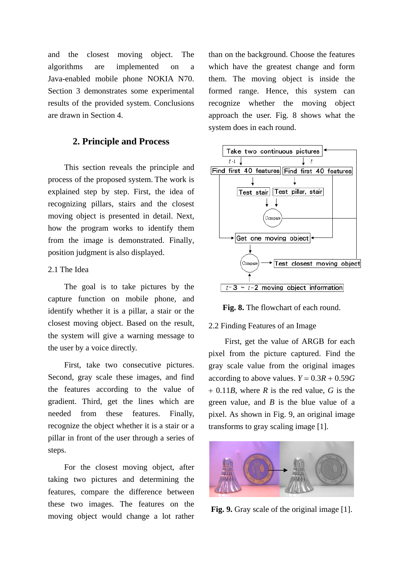and the closest moving object. The algorithms are implemented on a Java-enabled mobile phone NOKIA N70. Section 3 demonstrates some experimental results of the provided system. Conclusions are drawn in Section 4.

### **2. Principle and Process**

This section reveals the principle and process of the proposed system. The work is explained step by step. First, the idea of recognizing pillars, stairs and the closest moving object is presented in detail. Next, how the program works to identify them from the image is demonstrated. Finally, position judgment is also displayed.

#### 2.1 The Idea

The goal is to take pictures by the capture function on mobile phone, and identify whether it is a pillar, a stair or the closest moving object. Based on the result, the system will give a warning message to the user by a voice directly.

First, take two consecutive pictures. Second, gray scale these images, and find the features according to the value of gradient. Third, get the lines which are needed from these features. Finally, recognize the object whether it is a stair or a pillar in front of the user through a series of steps.

For the closest moving object, after taking two pictures and determining the features, compare the difference between these two images. The features on the moving object would change a lot rather

than on the background. Choose the features which have the greatest change and form them. The moving object is inside the formed range. Hence, this system can recognize whether the moving object approach the user. Fig. 8 shows what the system does in each round.



**Fig. 8.** The flowchart of each round.

#### 2.2 Finding Features of an Image

First, get the value of ARGB for each pixel from the picture captured. Find the gray scale value from the original images according to above values.  $Y = 0.3R + 0.59G$ + 0.11*B*, where *R* is the red value, *G* is the green value, and *B* is the blue value of a pixel. As shown in Fig. 9, an original image transforms to gray scaling image [1].



**Fig. 9.** Gray scale of the original image [1].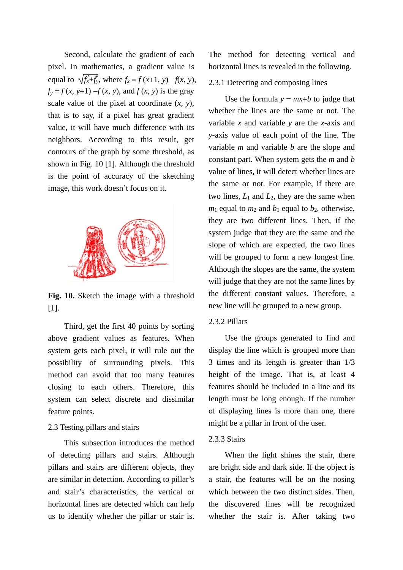Second, calculate the gradient of each pixel. In mathematics, a gradient value is equal to  $\sqrt{f_x^2 + f_y^2}$ , where  $f_x = f(x+1, y) - f(x, y)$ ,  $f_y = f(x, y+1) - f(x, y)$ , and  $f(x, y)$  is the gray scale value of the pixel at coordinate (*x*, *y*), that is to say, if a pixel has great gradient value, it will have much difference with its neighbors. According to this result, get contours of the graph by some threshold, as shown in Fig. 10 [1]. Although the threshold is the point of accuracy of the sketching image, this work doesn't focus on it.



**Fig. 10.** Sketch the image with a threshold [1].

Third, get the first 40 points by sorting above gradient values as features. When system gets each pixel, it will rule out the possibility of surrounding pixels. This method can avoid that too many features closing to each others. Therefore, this system can select discrete and dissimilar feature points.

### 2.3 Testing pillars and stairs

This subsection introduces the method of detecting pillars and stairs. Although pillars and stairs are different objects, they are similar in detection. According to pillar's and stair's characteristics, the vertical or horizontal lines are detected which can help us to identify whether the pillar or stair is. The method for detecting vertical and horizontal lines is revealed in the following.

#### 2.3.1 Detecting and composing lines

Use the formula  $y = mx+b$  to judge that whether the lines are the same or not. The variable *x* and variable *y* are the *x*-axis and *y*-axis value of each point of the line. The variable *m* and variable *b* are the slope and constant part. When system gets the *m* and *b* value of lines, it will detect whether lines are the same or not. For example, if there are two lines,  $L_1$  and  $L_2$ , they are the same when  $m_1$  equal to  $m_2$  and  $b_1$  equal to  $b_2$ , otherwise, they are two different lines. Then, if the system judge that they are the same and the slope of which are expected, the two lines will be grouped to form a new longest line. Although the slopes are the same, the system will judge that they are not the same lines by the different constant values. Therefore, a new line will be grouped to a new group.

#### 2.3.2 Pillars

Use the groups generated to find and display the line which is grouped more than 3 times and its length is greater than 1/3 height of the image. That is, at least 4 features should be included in a line and its length must be long enough. If the number of displaying lines is more than one, there might be a pillar in front of the user.

#### 2.3.3 Stairs

When the light shines the stair, there are bright side and dark side. If the object is a stair, the features will be on the nosing which between the two distinct sides. Then, the discovered lines will be recognized whether the stair is. After taking two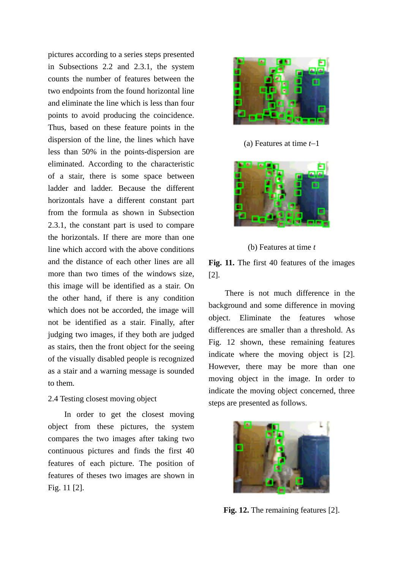pictures according to a series steps presented in Subsections 2.2 and 2.3.1, the system counts the number of features between the two endpoints from the found horizontal line and eliminate the line which is less than four points to avoid producing the coincidence. Thus, based on these feature points in the dispersion of the line, the lines which have less than 50% in the points-dispersion are eliminated. According to the characteristic of a stair, there is some space between ladder and ladder. Because the different horizontals have a different constant part from the formula as shown in Subsection 2.3.1, the constant part is used to compare the horizontals. If there are more than one line which accord with the above conditions and the distance of each other lines are all more than two times of the windows size, this image will be identified as a stair. On the other hand, if there is any condition which does not be accorded, the image will not be identified as a stair. Finally, after judging two images, if they both are judged as stairs, then the front object for the seeing of the visually disabled people is recognized as a stair and a warning message is sounded to them.

#### 2.4 Testing closest moving object

In order to get the closest moving object from these pictures, the system compares the two images after taking two continuous pictures and finds the first 40 features of each picture. The position of features of theses two images are shown in Fig. 11 [2].



(a) Features at time *t*−1



(b) Features at time *t*

**Fig. 11.** The first 40 features of the images [2].

There is not much difference in the background and some difference in moving object. Eliminate the features whose differences are smaller than a threshold. As Fig. 12 shown, these remaining features indicate where the moving object is [2]. However, there may be more than one moving object in the image. In order to indicate the moving object concerned, three steps are presented as follows.



**Fig. 12.** The remaining features [2].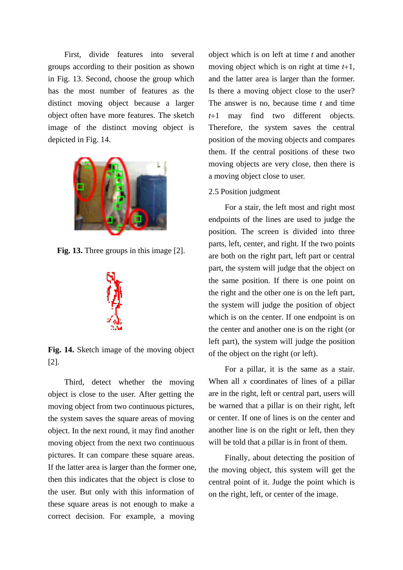First, divide features into several groups according to their position as shown in Fig. 13. Second, choose the group which has the most number of features as the distinct moving object because a larger object often have more features. The sketch image of the distinct moving object is depicted in Fig. 14.



**Fig. 13.** Three groups in this image [2].



**Fig. 14.** Sketch image of the moving object [2].

Third, detect whether the moving object is close to the user. After getting the moving object from two continuous pictures, the system saves the square areas of moving object. In the next round, it may find another moving object from the next two continuous pictures. It can compare these square areas. If the latter area is larger than the former one, then this indicates that the object is close to the user. But only with this information of these square areas is not enough to make a correct decision. For example, a moving

object which is on left at time *t* and another moving object which is on right at time *t*+1, and the latter area is larger than the former. Is there a moving object close to the user? The answer is no, because time *t* and time *t*+1 may find two different objects. Therefore, the system saves the central position of the moving objects and compares them. If the central positions of these two moving objects are very close, then there is a moving object close to user.

#### 2.5 Position judgment

For a stair, the left most and right most endpoints of the lines are used to judge the position. The screen is divided into three parts, left, center, and right. If the two points are both on the right part, left part or central part, the system will judge that the object on the same position. If there is one point on the right and the other one is on the left part, the system will judge the position of object which is on the center. If one endpoint is on the center and another one is on the right (or left part), the system will judge the position of the object on the right (or left).

For a pillar, it is the same as a stair. When all *x* coordinates of lines of a pillar are in the right, left or central part, users will be warned that a pillar is on their right, left or center. If one of lines is on the center and another line is on the right or left, then they will be told that a pillar is in front of them.

Finally, about detecting the position of the moving object, this system will get the central point of it. Judge the point which is on the right, left, or center of the image.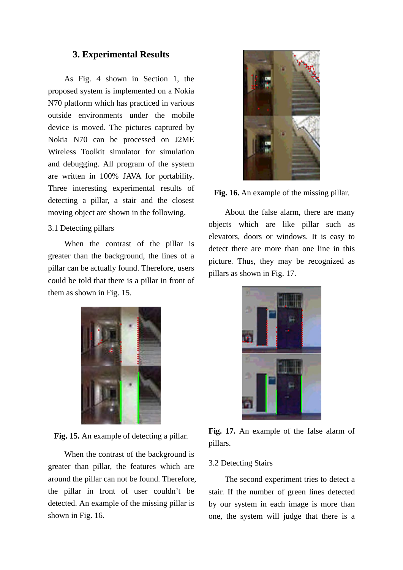## **3. Experimental Results**

As Fig. 4 shown in Section 1, the proposed system is implemented on a Nokia N70 platform which has practiced in various outside environments under the mobile device is moved. The pictures captured by Nokia N70 can be processed on J2ME Wireless Toolkit simulator for simulation and debugging. All program of the system are written in 100% JAVA for portability. Three interesting experimental results of detecting a pillar, a stair and the closest moving object are shown in the following.

#### 3.1 Detecting pillars

When the contrast of the pillar is greater than the background, the lines of a pillar can be actually found. Therefore, users could be told that there is a pillar in front of them as shown in Fig. 15.



**Fig. 15.** An example of detecting a pillar.

When the contrast of the background is greater than pillar, the features which are around the pillar can not be found. Therefore, the pillar in front of user couldn't be detected. An example of the missing pillar is shown in Fig. 16.





About the false alarm, there are many objects which are like pillar such as elevators, doors or windows. It is easy to detect there are more than one line in this picture. Thus, they may be recognized as pillars as shown in Fig. 17.



**Fig. 17.** An example of the false alarm of pillars.

#### 3.2 Detecting Stairs

The second experiment tries to detect a stair. If the number of green lines detected by our system in each image is more than one, the system will judge that there is a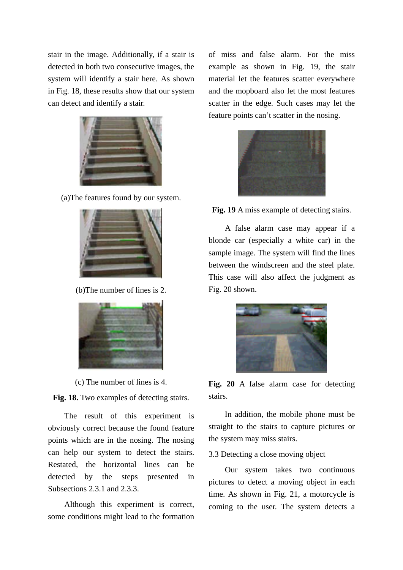stair in the image. Additionally, if a stair is detected in both two consecutive images, the system will identify a stair here. As shown in Fig. 18, these results show that our system can detect and identify a stair.



(a)The features found by our system.



(b)The number of lines is 2.



(c) The number of lines is 4.

**Fig. 18.** Two examples of detecting stairs.

The result of this experiment is obviously correct because the found feature points which are in the nosing. The nosing can help our system to detect the stairs. Restated, the horizontal lines can be detected by the steps presented in Subsections 2.3.1 and 2.3.3.

Although this experiment is correct, some conditions might lead to the formation

of miss and false alarm. For the miss example as shown in Fig. 19, the stair material let the features scatter everywhere and the mopboard also let the most features scatter in the edge. Such cases may let the feature points can't scatter in the nosing.



**Fig. 19** A miss example of detecting stairs.

A false alarm case may appear if a blonde car (especially a white car) in the sample image. The system will find the lines between the windscreen and the steel plate. This case will also affect the judgment as Fig. 20 shown.



**Fig. 20** A false alarm case for detecting stairs.

In addition, the mobile phone must be straight to the stairs to capture pictures or the system may miss stairs.

3.3 Detecting a close moving object

Our system takes two continuous pictures to detect a moving object in each time. As shown in Fig. 21, a motorcycle is coming to the user. The system detects a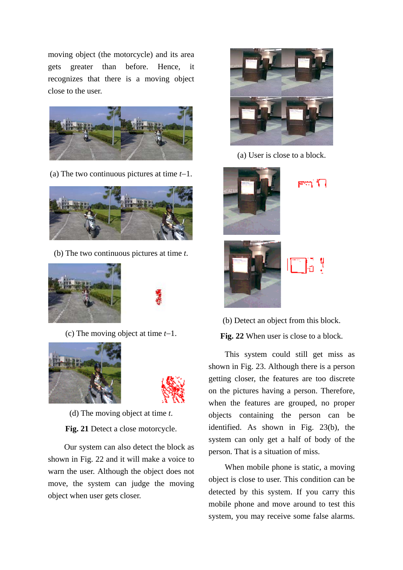moving object (the motorcycle) and its area gets greater than before. Hence, it recognizes that there is a moving object close to the user.



(a) The two continuous pictures at time *t*−1.



(b) The two continuous pictures at time *t*.





(c) The moving object at time *t*−1.





(d) The moving object at time *t*.

**Fig. 21** Detect a close motorcycle.

Our system can also detect the block as shown in Fig. 22 and it will make a voice to warn the user. Although the object does not move, the system can judge the moving object when user gets closer.



(a) User is close to a block.



೯ಇ ೧



(b) Detect an object from this block. **Fig. 22** When user is close to a block.

This system could still get miss as shown in Fig. 23. Although there is a person getting closer, the features are too discrete on the pictures having a person. Therefore, when the features are grouped, no proper objects containing the person can be identified. As shown in Fig. 23(b), the system can only get a half of body of the person. That is a situation of miss.

When mobile phone is static, a moving object is close to user. This condition can be detected by this system. If you carry this mobile phone and move around to test this system, you may receive some false alarms.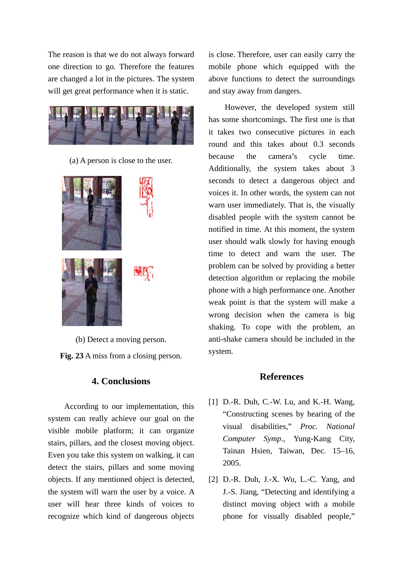The reason is that we do not always forward one direction to go. Therefore the features are changed a lot in the pictures. The system will get great performance when it is static.



(a) A person is close to the user.



(b) Detect a moving person.

**Fig. 23** A miss from a closing person.

# **4. Conclusions**

According to our implementation, this system can really achieve our goal on the visible mobile platform; it can organize stairs, pillars, and the closest moving object. Even you take this system on walking, it can detect the stairs, pillars and some moving objects. If any mentioned object is detected, the system will warn the user by a voice. A user will hear three kinds of voices to recognize which kind of dangerous objects

is close. Therefore, user can easily carry the mobile phone which equipped with the above functions to detect the surroundings and stay away from dangers.

However, the developed system still has some shortcomings. The first one is that it takes two consecutive pictures in each round and this takes about 0.3 seconds because the camera's cycle time. Additionally, the system takes about 3 seconds to detect a dangerous object and voices it. In other words, the system can not warn user immediately. That is, the visually disabled people with the system cannot be notified in time. At this moment, the system user should walk slowly for having enough time to detect and warn the user. The problem can be solved by providing a better detection algorithm or replacing the mobile phone with a high performance one. Another weak point is that the system will make a wrong decision when the camera is big shaking. To cope with the problem, an anti-shake camera should be included in the system.

# **References**

- [1] D.-R. Duh, C.-W. Lu, and K.-H. Wang, "Constructing scenes by hearing of the visual disabilities," *Proc. National Computer Symp.*, Yung-Kang City, Tainan Hsien, Taiwan, Dec. 15–16, 2005.
- [2] D.-R. Duh, J.-X. Wu, L.-C. Yang, and J.-S. Jiang, "Detecting and identifying a distinct moving object with a mobile phone for visually disabled people,"